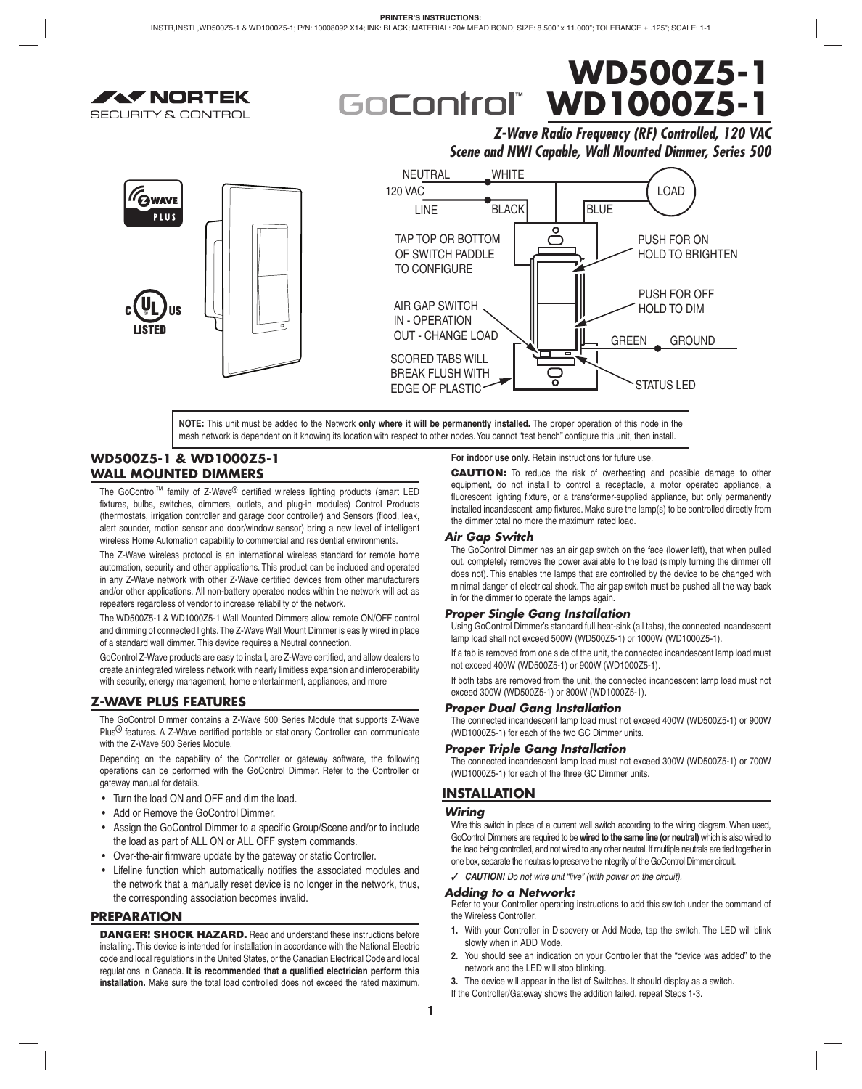# **WD500Z5-1 WD1000Z5-1** GoControl

*Z-Wave Radio Frequency (RF) Controlled, 120 VAC Scene and NWI Capable, Wall Mounted Dimmer, Series 500*



mesh network is dependent on it knowing its location with respect to other nodes. You cannot "test bench" configure this unit, then install.

## **WD500Z5-1 & WD1000Z5-1 WALL MOUNTED DIMMERS**

**AV NORTEK** 

**SECURITY & CONTROL** 

The GoControl™ family of Z-Wave® certified wireless lighting products (smart LED fixtures, bulbs, switches, dimmers, outlets, and plug-in modules) Control Products (thermostats, irrigation controller and garage door controller) and Sensors (flood, leak, alert sounder, motion sensor and door/window sensor) bring a new level of intelligent wireless Home Automation capability to commercial and residential environments.

The Z-Wave wireless protocol is an international wireless standard for remote home automation, security and other applications. This product can be included and operated in any Z-Wave network with other Z-Wave certified devices from other manufacturers and/or other applications. All non-battery operated nodes within the network will act as repeaters regardless of vendor to increase reliability of the network.

The WD500Z5-1 & WD1000Z5-1 Wall Mounted Dimmers allow remote ON/OFF control and dimming of connected lights. The Z-Wave Wall Mount Dimmer is easily wired in place of a standard wall dimmer. This device requires a Neutral connection.

GoControl Z-Wave products are easy to install, are Z-Wave certified, and allow dealers to create an integrated wireless network with nearly limitless expansion and interoperability with security, energy management, home entertainment, appliances, and more

## **Z-WAVE PLUS FEATURES**

The GoControl Dimmer contains a Z-Wave 500 Series Module that supports Z-Wave Plus $<sup>®</sup>$  features. A Z-Wave certified portable or stationary Controller can communicate</sup> with the Z-Wave 500 Series Module.

Depending on the capability of the Controller or gateway software, the following operations can be performed with the GoControl Dimmer. Refer to the Controller or gateway manual for details.

- Turn the load ON and OFF and dim the load.
- Add or Remove the GoControl Dimmer.
- Assign the GoControl Dimmer to a specific Group/Scene and/or to include the load as part of ALL ON or ALL OFF system commands.
- Over-the-air firmware update by the gateway or static Controller.
- Lifeline function which automatically notifies the associated modules and the network that a manually reset device is no longer in the network, thus, the corresponding association becomes invalid.

## **PREPARATION**

**DANGER! SHOCK HAZARD.** Read and understand these instructions before installing. This device is intended for installation in accordance with the National Electric code and local regulations in the United States, or the Canadian Electrical Code and local regulations in Canada. It is recommended that a qualified electrician perform this **installation.** Make sure the total load controlled does not exceed the rated maximum.

**For indoor use only.** Retain instructions for future use.

**CAUTION:** To reduce the risk of overheating and possible damage to other equipment, do not install to control a receptacle, a motor operated appliance, a fluorescent lighting fixture, or a transformer-supplied appliance, but only permanently installed incandescent lamp fixtures. Make sure the lamp(s) to be controlled directly from the dimmer total no more the maximum rated load.

## *Air Gap Switch*

The GoControl Dimmer has an air gap switch on the face (lower left), that when pulled out, completely removes the power available to the load (simply turning the dimmer off does not). This enables the lamps that are controlled by the device to be changed with minimal danger of electrical shock. The air gap switch must be pushed all the way back in for the dimmer to operate the lamps again.

## *Proper Single Gang Installation*

Using GoControl Dimmer's standard full heat-sink (all tabs), the connected incandescent lamp load shall not exceed 500W (WD500Z5-1) or 1000W (WD1000Z5-1).

If a tab is removed from one side of the unit, the connected incandescent lamp load must not exceed 400W (WD500Z5-1) or 900W (WD1000Z5-1).

If both tabs are removed from the unit, the connected incandescent lamp load must not exceed 300W (WD500Z5-1) or 800W (WD1000Z5-1).

## *Proper Dual Gang Installation*

The connected incandescent lamp load must not exceed 400W (WD500Z5-1) or 900W (WD1000Z5-1) for each of the two GC Dimmer units.

## *Proper Triple Gang Installation*

The connected incandescent lamp load must not exceed 300W (WD500Z5-1) or 700W (WD1000Z5-1) for each of the three GC Dimmer units.

## **INSTALLATION**

## *Wiring*

Wire this switch in place of a current wall switch according to the wiring diagram. When used, GoControl Dimmers are required to be **wired to the same line (or neutral)** which is also wired to the load being controlled, and not wired to any other neutral. If multiple neutrals are tied together in one box, separate the neutrals to preserve the integrity of the GoControl Dimmer circuit.

✓ *CAUTION! Do not wire unit "live" (with power on the circuit).*

#### *Adding to a Network:*

Refer to your Controller operating instructions to add this switch under the command of the Wireless Controller.

- **1.** With your Controller in Discovery or Add Mode, tap the switch. The LED will blink slowly when in ADD Mode.
- **2.** You should see an indication on your Controller that the "device was added" to the network and the LED will stop blinking.
- **3.** The device will appear in the list of Switches. It should display as a switch.
- If the Controller/Gateway shows the addition failed, repeat Steps 1-3.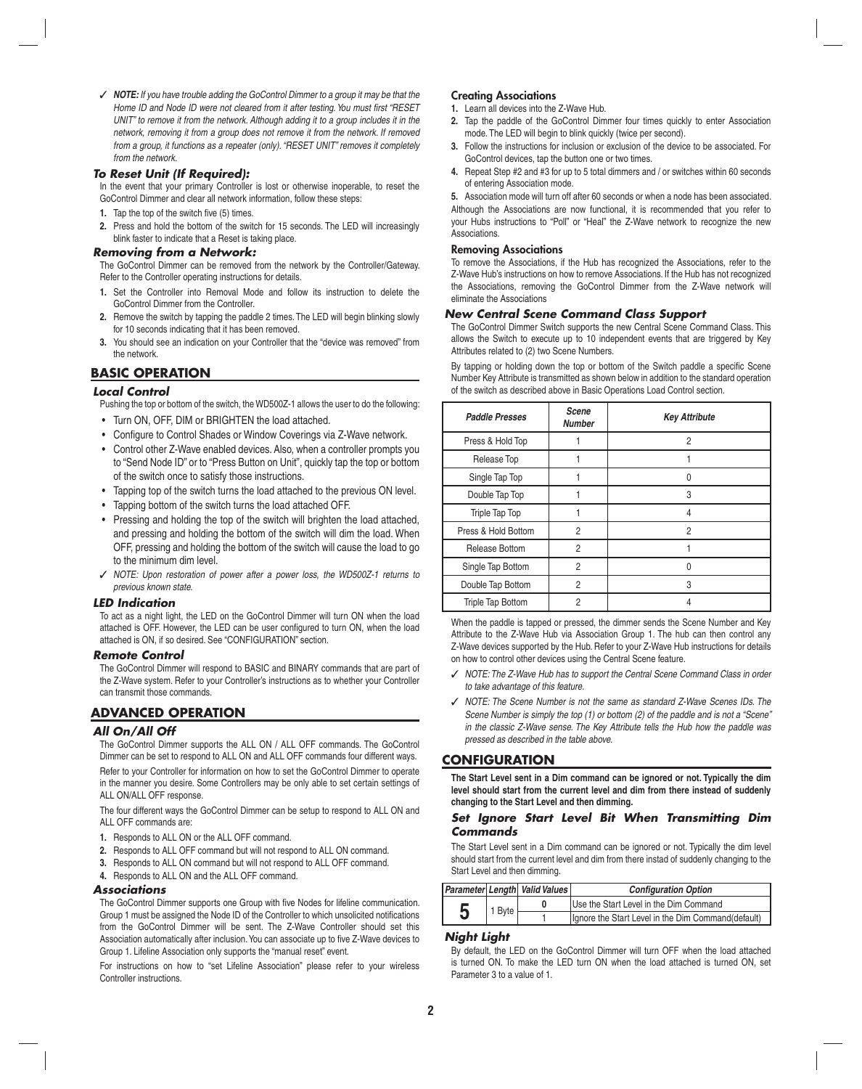✓ *NOTE: If you have trouble adding the GoControl Dimmer to a group it may be that the*  Home ID and Node ID were not cleared from it after testing. You must first "RESET *UNIT" to remove it from the network. Although adding it to a group includes it in the network, removing it from a group does not remove it from the network. If removed from a group, it functions as a repeater (only). "RESET UNIT" removes it completely from the network.*

## *To Reset Unit (If Required):*

In the event that your primary Controller is lost or otherwise inoperable, to reset the GoControl Dimmer and clear all network information, follow these steps:

- **1.** Tap the top of the switch five (5) times.
- **2.** Press and hold the bottom of the switch for 15 seconds. The LED will increasingly blink faster to indicate that a Reset is taking place.

#### *Removing from a Network:*

The GoControl Dimmer can be removed from the network by the Controller/Gateway. Refer to the Controller operating instructions for details.

- **1.** Set the Controller into Removal Mode and follow its instruction to delete the GoControl Dimmer from the Controller.
- **2.** Remove the switch by tapping the paddle 2 times. The LED will begin blinking slowly for 10 seconds indicating that it has been removed.
- **3.** You should see an indication on your Controller that the "device was removed" from the network.

## **BASIC OPERATION**

## *Local Control*

Pushing the top or bottom of the switch, the WD500Z-1 allows the user to do the following:

- Turn ON, OFF, DIM or BRIGHTEN the load attached.
- Configure to Control Shades or Window Coverings via Z-Wave network.
- Control other Z-Wave enabled devices. Also, when a controller prompts you to "Send Node ID" or to "Press Button on Unit", quickly tap the top or bottom of the switch once to satisfy those instructions.
- Tapping top of the switch turns the load attached to the previous ON level.
- Tapping bottom of the switch turns the load attached OFF.
- Pressing and holding the top of the switch will brighten the load attached, and pressing and holding the bottom of the switch will dim the load. When OFF, pressing and holding the bottom of the switch will cause the load to go to the minimum dim level.
- ✓ *NOTE: Upon restoration of power after a power loss, the WD500Z-1 returns to previous known state.*

## *LED Indication*

To act as a night light, the LED on the GoControl Dimmer will turn ON when the load attached is OFF. However, the LED can be user configured to turn ON, when the load attached is ON, if so desired. See "CONFIGURATION" section.

## *Remote Control*

The GoControl Dimmer will respond to BASIC and BINARY commands that are part of the Z-Wave system. Refer to your Controller's instructions as to whether your Controller can transmit those commands.

## **ADVANCED OPERATION**

## *All On/All Off*

The GoControl Dimmer supports the ALL ON / ALL OFF commands. The GoControl Dimmer can be set to respond to ALL ON and ALL OFF commands four different ways.

Refer to your Controller for information on how to set the GoControl Dimmer to operate in the manner you desire. Some Controllers may be only able to set certain settings of ALL ON/ALL OFF response.

The four different ways the GoControl Dimmer can be setup to respond to ALL ON and ALL OFF commands are:

- **1.** Responds to ALL ON or the ALL OFF command.
- **2.** Responds to ALL OFF command but will not respond to ALL ON command.
- **3.** Responds to ALL ON command but will not respond to ALL OFF command.
- **4.** Responds to ALL ON and the ALL OFF command.

## *Associations*

The GoControl Dimmer supports one Group with five Nodes for lifeline communication. Group 1 must be assigned the Node ID of the Controller to which unsolicited notifications from the GoControl Dimmer will be sent. The Z-Wave Controller should set this Association automatically after inclusion. You can associate up to five Z-Wave devices to Group 1. Lifeline Association only supports the "manual reset" event.

For instructions on how to "set Lifeline Association" please refer to your wireless Controller instructions.

#### **Creating Associations**

- **1.** Learn all devices into the Z-Wave Hub.
- **2.** Tap the paddle of the GoControl Dimmer four times quickly to enter Association mode. The LED will begin to blink quickly (twice per second).
- **3.** Follow the instructions for inclusion or exclusion of the device to be associated. For GoControl devices, tap the button one or two times.
- **4.** Repeat Step #2 and #3 for up to 5 total dimmers and / or switches within 60 seconds of entering Association mode.

**5.** Association mode will turn off after 60 seconds or when a node has been associated. Although the Associations are now functional, it is recommended that you refer to your Hubs instructions to "Poll" or "Heal" the Z-Wave network to recognize the new Associations.

## **Removing Associations**

To remove the Associations, if the Hub has recognized the Associations, refer to the Z-Wave Hub's instructions on how to remove Associations. If the Hub has not recognized the Associations, removing the GoControl Dimmer from the Z-Wave network will eliminate the Associations

## *New Central Scene Command Class Support*

The GoControl Dimmer Switch supports the new Central Scene Command Class. This allows the Switch to execute up to 10 independent events that are triggered by Key Attributes related to (2) two Scene Numbers.

By tapping or holding down the top or bottom of the Switch paddle a specific Scene Number Key Attribute is transmitted as shown below in addition to the standard operation of the switch as described above in Basic Operations Load Control section.

| <b>Paddle Presses</b>    | Scene<br><b>Number</b> | <b>Key Attribute</b> |
|--------------------------|------------------------|----------------------|
| Press & Hold Top         |                        | 2                    |
| Release Top              |                        |                      |
| Single Tap Top           |                        | N                    |
| Double Tap Top           |                        | 3                    |
| Triple Tap Top           |                        | 4                    |
| Press & Hold Bottom      | $\overline{2}$         | 2                    |
| Release Bottom           | $\overline{2}$         |                      |
| Single Tap Bottom        | $\overline{2}$         |                      |
| Double Tap Bottom        | $\overline{2}$         | 3                    |
| <b>Triple Tap Bottom</b> | $\overline{c}$         |                      |

When the paddle is tapped or pressed, the dimmer sends the Scene Number and Key Attribute to the Z-Wave Hub via Association Group 1. The hub can then control any Z-Wave devices supported by the Hub. Refer to your Z-Wave Hub instructions for details on how to control other devices using the Central Scene feature.

- ✓ *NOTE: The Z-Wave Hub has to support the Central Scene Command Class in order to take advantage of this feature.*
- ✓ *NOTE: The Scene Number is not the same as standard Z-Wave Scenes IDs. The Scene Number is simply the top (1) or bottom (2) of the paddle and is not a "Scene" in the classic Z-Wave sense. The Key Attribute tells the Hub how the paddle was pressed as described in the table above.*

## **CONFIGURATION**

**The Start Level sent in a Dim command can be ignored or not. Typically the dim level should start from the current level and dim from there instead of suddenly changing to the Start Level and then dimming.**

## *Set Ignore Start Level Bit When Transmitting Dim Commands*

The Start Level sent in a Dim command can be ignored or not. Typically the dim level should start from the current level and dim from there instad of suddenly changing to the Start Level and then dimming.

|   |        | Parameter Length Valid Values                       | <b>Configuration Option</b>            |
|---|--------|-----------------------------------------------------|----------------------------------------|
|   | 1 Byte |                                                     | Use the Start Level in the Dim Command |
| 5 |        | Ignore the Start Level in the Dim Command (default) |                                        |

## *Night Light*

By default, the LED on the GoControl Dimmer will turn OFF when the load attached is turned ON. To make the LED turn ON when the load attached is turned ON, set Parameter 3 to a value of 1.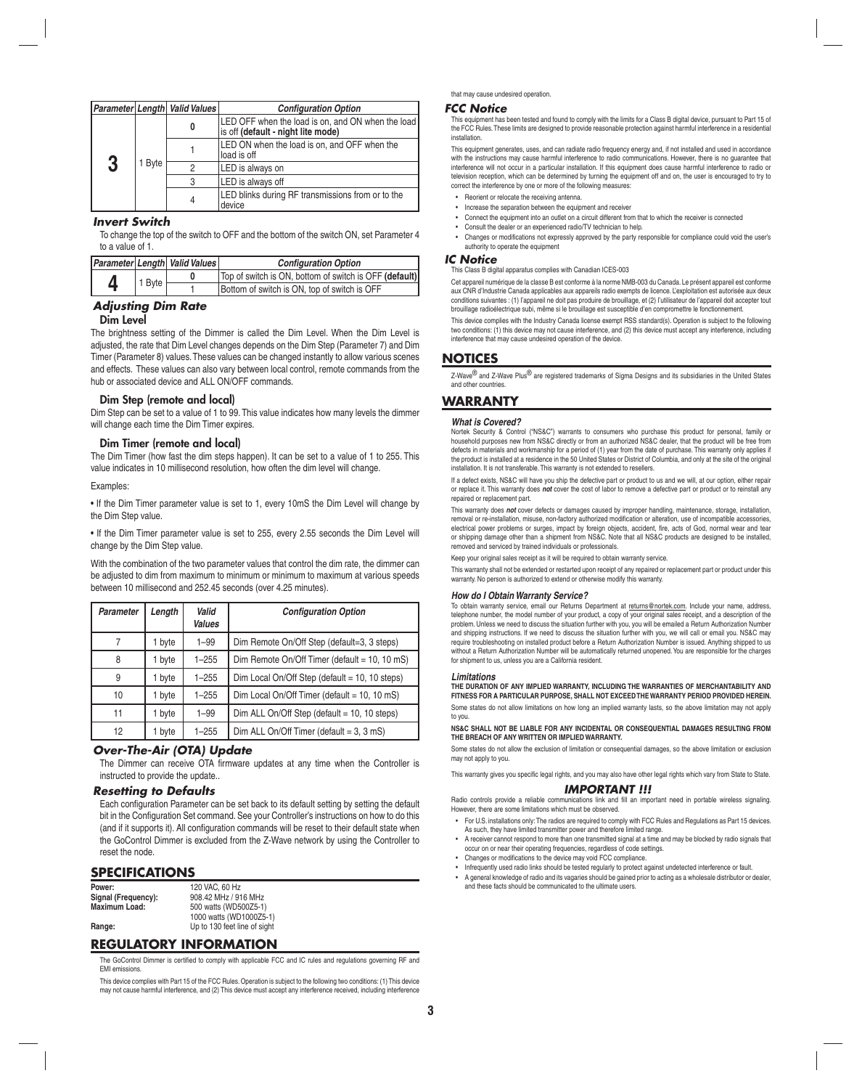|             |   | Parameter Length Valid Values | <b>Configuration Option</b>                                                             |
|-------------|---|-------------------------------|-----------------------------------------------------------------------------------------|
| 3<br>1 Byte |   |                               | LED OFF when the load is on, and ON when the load<br>is off (default - night lite mode) |
|             |   |                               | LED ON when the load is on, and OFF when the<br>load is off                             |
|             |   | LED is always on              |                                                                                         |
|             | 3 | LED is always off             |                                                                                         |
|             |   |                               | LED blinks during RF transmissions from or to the<br>device                             |

## *Invert Switch*

To change the top of the switch to OFF and the bottom of the switch ON, set Parameter 4 to a value of 1.

|        |  | Parameter Length Valid Values                          | <b>Configuration Option</b>                  |
|--------|--|--------------------------------------------------------|----------------------------------------------|
| 1 Byte |  | Top of switch is ON, bottom of switch is OFF (default) |                                              |
|        |  |                                                        | Bottom of switch is ON, top of switch is OFF |

## *Adjusting Dim Rate*

#### **Dim Level**

The brightness setting of the Dimmer is called the Dim Level. When the Dim Level is adjusted, the rate that Dim Level changes depends on the Dim Step (Parameter 7) and Dim Timer (Parameter 8) values. These values can be changed instantly to allow various scenes and effects. These values can also vary between local control, remote commands from the hub or associated device and ALL ON/OFF commands.

## **Dim Step (remote and local)**

Dim Step can be set to a value of 1 to 99. This value indicates how many levels the dimmer will change each time the Dim Timer expires.

## **Dim Timer (remote and local)**

The Dim Timer (how fast the dim steps happen). It can be set to a value of 1 to 255. This value indicates in 10 millisecond resolution, how often the dim level will change.

#### Examples:

• If the Dim Timer parameter value is set to 1, every 10mS the Dim Level will change by the Dim Step value.

• If the Dim Timer parameter value is set to 255, every 2.55 seconds the Dim Level will change by the Dim Step value.

With the combination of the two parameter values that control the dim rate, the dimmer can be adjusted to dim from maximum to minimum or minimum to maximum at various speeds between 10 millisecond and 252.45 seconds (over 4.25 minutes).

| Parameter | Length | Valid<br><b>Values</b> | <b>Configuration Option</b>                    |
|-----------|--------|------------------------|------------------------------------------------|
|           | 1 byte | $1 - 99$               | Dim Remote On/Off Step (default=3, 3 steps)    |
| 8         | 1 byte | $1 - 255$              | Dim Remote On/Off Timer (default = 10, 10 mS)  |
| 9         | 1 byte | $1 - 255$              | Dim Local On/Off Step (default = 10, 10 steps) |
| 10        | 1 byte | $1 - 255$              | Dim Local On/Off Timer (default = 10, 10 mS)   |
| 11        | 1 byte | $1 - 99$               | Dim ALL On/Off Step (default = 10, 10 steps)   |
| 12        | 1 byte | $1 - 255$              | Dim ALL On/Off Timer (default = $3$ , $3$ mS)  |

## *Over-The-Air (OTA) Update*

The Dimmer can receive OTA firmware updates at any time when the Controller is instructed to provide the update..

#### *Resetting to Defaults*

Each configuration Parameter can be set back to its default setting by setting the default bit in the Configuration Set command. See your Controller's instructions on how to do this (and if it supports it). All configuration commands will be reset to their default state when the GoControl Dimmer is excluded from the Z-Wave network by using the Controller to reset the node.

## **SPECIFICATIONS**

| Power:               | 120 VAC, 60 Hz               |
|----------------------|------------------------------|
| Signal (Frequency):  | 908.42 MHz / 916 MHz         |
| <b>Maximum Load:</b> | 500 watts (WD500Z5-1)        |
|                      | 1000 watts (WD1000Z5-1)      |
| Range:               | Up to 130 feet line of sight |

## **REGULATORY INFORMATION**

The GoControl Dimmer is certified to comply with applicable FCC and IC rules and regulations governing RF and EMI emissions.

This device complies with Part 15 of the FCC Rules. Operation is subject to the following two conditions: (1) This device may not cause harmful interference, and (2) This device must accept any interference received, including interference

#### that may cause undesired operation.

#### *FCC Notice*

This equipment has been tested and found to comply with the limits for a Class B digital device, pursuant to Part 15 of the FCC Rules. These limits are designed to provide reasonable protection against harmful interference in a residentia installation.

This equipment generates, uses, and can radiate radio frequency energy and, if not installed and used in accordance with the instructions may cause harmful interference to radio communications. However, there is no guarantee that interference will not occur in a particular installation. If this equipment does cause harmful interference to radio or television reception, which can be determined by turning the equipment off and on, the user is encouraged to try to correct the interference by one or more of the following measures:

- Reorient or relocate the receiving antenna.
- Increase the separation between the equipment and receiver
- Connect the equipment into an outlet on a circuit different from that to which the receiver is connected • Consult the dealer or an experienced radio/TV technician to help.
- Changes or modifications not expressly approved by the party responsible for compliance could void the user's authority to operate the equipm

#### *IC Notice*

This Class B digital apparatus complies with Canadian ICES-003

Cet appareil numérique de la classe B est conforme à la norme NMB-003 du Canada. Le présent appareil est conforme aux CNR d'Industrie Canada applicables aux appareils radio exempts de licence. L'exploitation est autorisée aux deux conditions suivantes : (1) l'appareil ne doit pas produire de brouillage, et (2) l'utilisateur de l'appareil doit accepter tout<br>brouillage radioélectrique subi, même si le brouillage est susceptible d'en compromettre le fo

This device complies with the Industry Canada license exempt RSS standard(s). Operation is subject to the following two conditions: (1) this device may not cause interference, and (2) this device must accept any interference, including interference that may cause undesired operation of the device.

## **NOTICES**

Z-Wave<sup>®</sup> and Z-Wave Plus<sup>®</sup> are registered trademarks of Sigma Designs and its subsidiaries in the United States and other countries.

## **WARRANTY**

#### *What is Covered?*

Nortek Security & Control ("NS&C") warrants to consumers who purchase this product for personal, family or household purposes new from NS&C directly or from an authorized NS&C dealer, that the product will be free from<br>defects in materials and workmanship for a period of (1) year from the date of purchase. This warranty only ap the product is installed at a residence in the 50 United States or District of Columbia, and only at the site of the original installation. It is not transferable. This warranty is not extended to resellers.

If a defect exists, NS&C will have you ship the defective part or product to us and we will, at our option, either repair or replace it. This warranty does *not* cover the cost of labor to remove a defective part or product or to reinstall any repaired or replacement part.

This warranty does *not* cover defects or damages caused by improper handling, maintenance, storage, installation, removal or re-installation, misuse, non-factory authorized modification or alteration, use of incompatible accessories, electrical power problems or surges, impact by foreign objects, accident, fire, acts of God, normal wear and tear<br>or shipping damage other than a shipment from NS&C. Note that all NS&C products are designed to be installed removed and serviced by trained individuals or professionals.

Keep your original sales receipt as it will be required to obtain warranty service.

This warranty shall not be extended or restarted upon receipt of any repaired or replacement part or product under this warranty. No person is authorized to extend or otherwise modify this warranty.

#### *How do I Obtain Warranty Service?*

To obtain warranty service, email our Returns Department at returns@nortek.com. Include your name, address, telephone number, the model number of your product, a copy of your original sales receipt, and a description of the problem. Unless we need to discuss the situation further with you, you will be emailed a Return Authorization Number and shipping instructions. If we need to discuss the situation further with you, we will call or email you. NS&C may require troubleshooting on installed product before a Return Authorization Number is issued. Anything shipped to us without a Return Authorization Number will be automatically returned unopened. You are responsible for the charges for shipment to us, unless you are a California resident.

#### *Limitations*

**THE DURATION OF ANY IMPLIED WARRANTY, INCLUDING THE WARRANTIES OF MERCHANTABILITY AND FITNESS FOR A PARTICULAR PURPOSE, SHALL NOT EXCEED THE WARRANTY PERIOD PROVIDED HEREIN.** Some states do not allow limitations on how long an implied warranty lasts, so the above limitation may not apply to you.

## **NS&C SHALL NOT BE LIABLE FOR ANY INCIDENTAL OR CONSEQUENTIAL DAMAGES RESULTING FROM THE BREACH OF ANY WRITTEN OR IMPLIED WARRANTY.**

Some states do not allow the exclusion of limitation or consequential damages, so the above limitation or exclusion may not apply to you.

This warranty gives you specific legal rights, and you may also have other legal rights which vary from State to State.

#### *IMPORTANT !!!*

Radio controls provide a reliable communications link and fill an important need in portable wireless signaling. However, there are some limitations which must be observed.

- For U.S. installations only: The radios are required to comply with FCC Rules and Regulations as Part 15 devices. As such, they have limited transmitter power and therefore limited range.
- A receiver cannot respond to more than one transmitted signal at a time and may be blocked by radio signals that
- occur on or near their operating frequencies, regardless of code settings. Changes or modifications to the device may void FCC compliance.
- Infrequently used radio links should be tested regularly to protect against undetected interference or fault.
- A general knowledge of radio and its vagaries should be gained prior to acting as a wholesale distributor or dealer, and these facts should be communicated to the ultimate users.